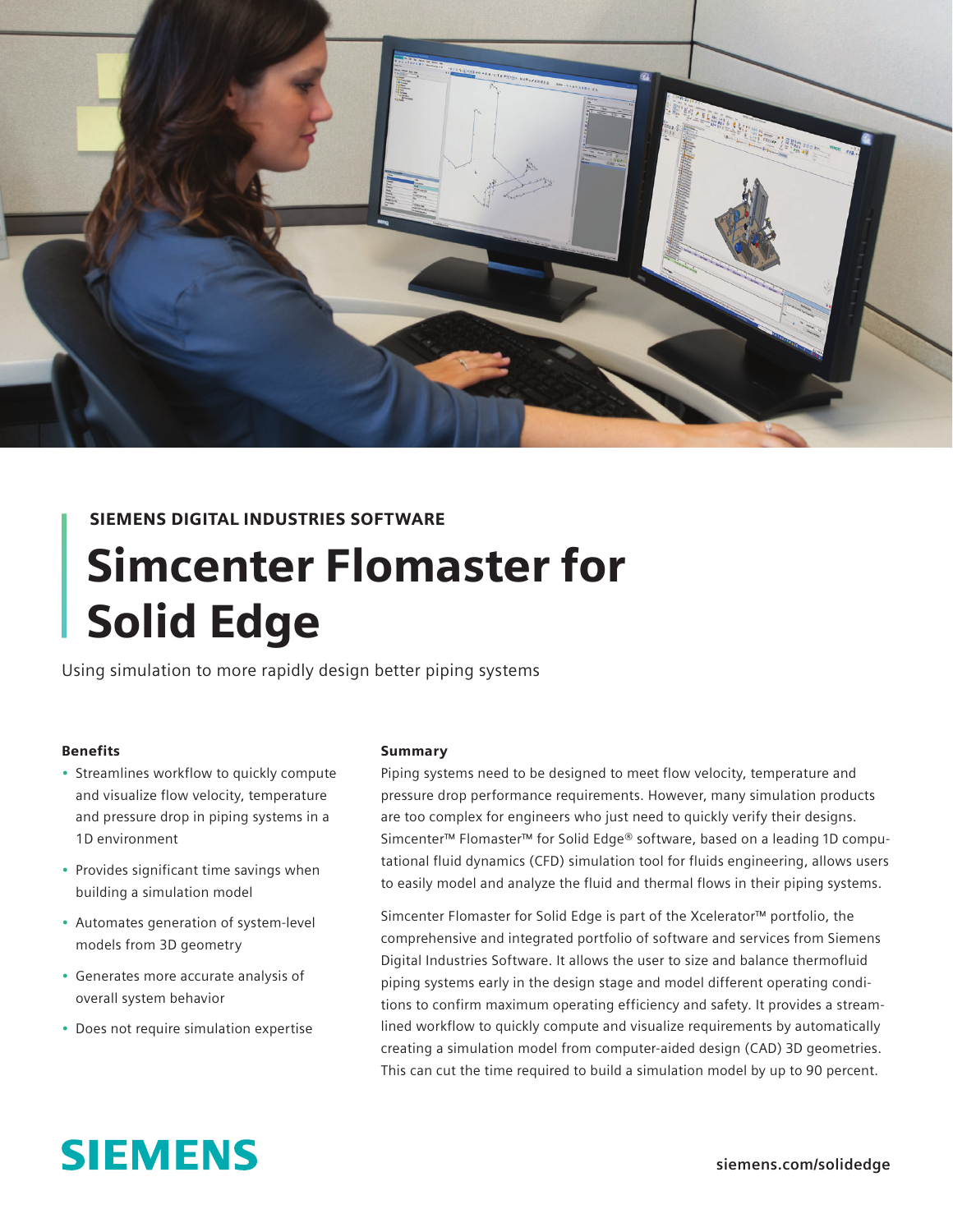

# SIEMENS DIGITAL INDUSTRIES SOFTWARE

# Simcenter Flomaster for Solid Edge

Using simulation to more rapidly design better piping systems

### Benefits

- Streamlines workflow to quickly compute and visualize flow velocity, temperature and pressure drop in piping systems in a 1D environment
- Provides significant time savings when building a simulation model
- Automates generation of system-level models from 3D geometry
- Generates more accurate analysis of overall system behavior
- Does not require simulation expertise

#### Summary

Piping systems need to be designed to meet flow velocity, temperature and pressure drop performance requirements. However, many simulation products are too complex for engineers who just need to quickly verify their designs. Simcenter™ Flomaster™ for Solid Edge® software, based on a leading 1D computational fluid dynamics (CFD) simulation tool for fluids engineering, allows users to easily model and analyze the fluid and thermal flows in their piping systems.

Simcenter Flomaster for Solid Edge is part of the Xcelerator™ portfolio, the comprehensive and integrated portfolio of software and services from Siemens Digital Industries Software. It allows the user to size and balance thermofluid piping systems early in the design stage and model different operating conditions to confirm maximum operating efficiency and safety. It provides a streamlined workflow to quickly compute and visualize requirements by automatically creating a simulation model from computer-aided design (CAD) 3D geometries. This can cut the time required to build a simulation model by up to 90 percent.

# **SIEMENS**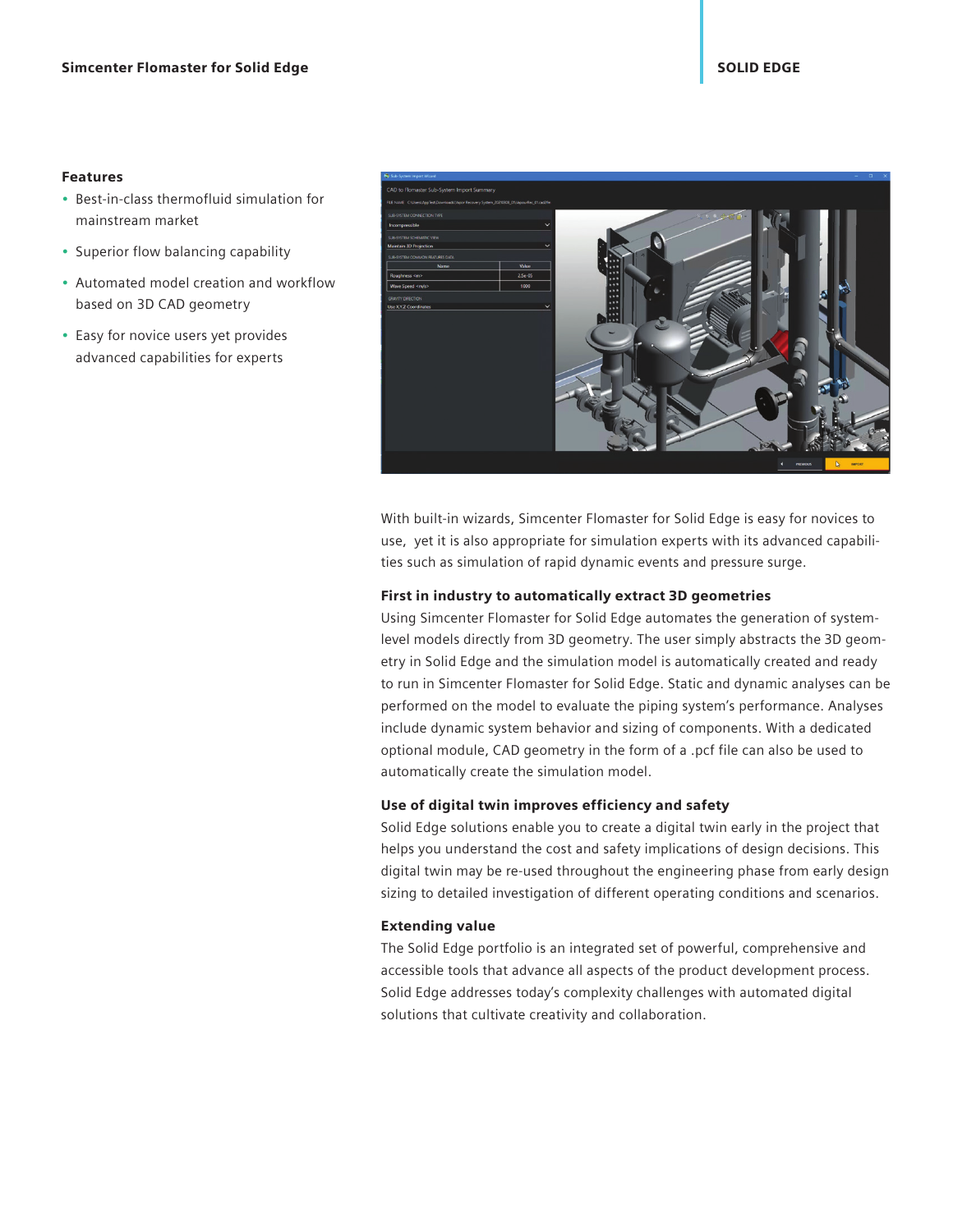#### Features

- Best-in-class thermofluid simulation for mainstream market
- Superior flow balancing capability
- Automated model creation and workflow based on 3D CAD geometry
- Easy for novice users yet provides advanced capabilities for experts



With built-in wizards, Simcenter Flomaster for Solid Edge is easy for novices to use, yet it is also appropriate for simulation experts with its advanced capabilities such as simulation of rapid dynamic events and pressure surge.

## First in industry to automatically extract 3D geometries

Using Simcenter Flomaster for Solid Edge automates the generation of systemlevel models directly from 3D geometry. The user simply abstracts the 3D geometry in Solid Edge and the simulation model is automatically created and ready to run in Simcenter Flomaster for Solid Edge. Static and dynamic analyses can be performed on the model to evaluate the piping system's performance. Analyses include dynamic system behavior and sizing of components. With a dedicated optional module, CAD geometry in the form of a .pcf file can also be used to automatically create the simulation model.

### Use of digital twin improves efficiency and safety

Solid Edge solutions enable you to create a digital twin early in the project that helps you understand the cost and safety implications of design decisions. This digital twin may be re-used throughout the engineering phase from early design sizing to detailed investigation of different operating conditions and scenarios.

## Extending value

The Solid Edge portfolio is an integrated set of powerful, comprehensive and accessible tools that advance all aspects of the product development process. Solid Edge addresses today's complexity challenges with automated digital solutions that cultivate creativity and collaboration.